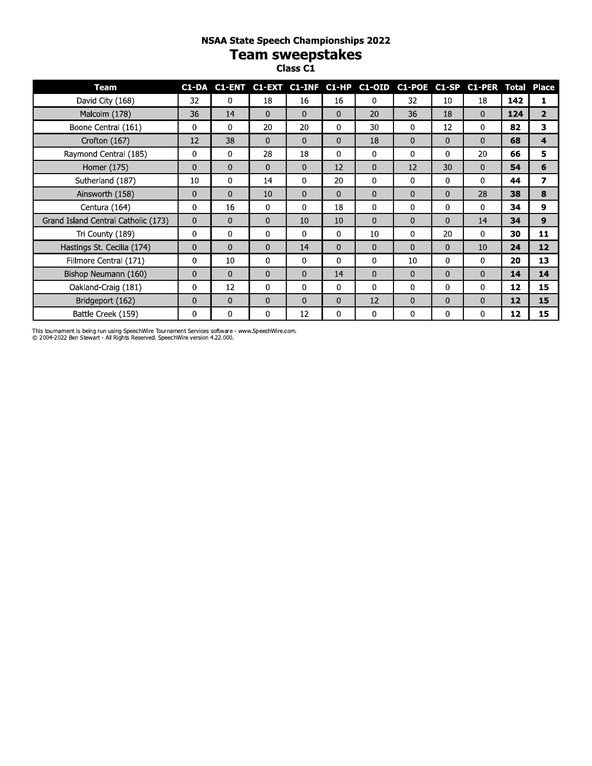# **NSAA State Speech Championships 2022** Team sweepstakes

| <b>Team</b>                         |              |              |              |              |              | C1-DA C1-ENT C1-EXT C1-INF C1-HP C1-OID C1-POE C1-SP C1-PER Total Place |              |              |              |     |                |
|-------------------------------------|--------------|--------------|--------------|--------------|--------------|-------------------------------------------------------------------------|--------------|--------------|--------------|-----|----------------|
| David City (168)                    | 32           | 0            | 18           | 16           | 16           | $\Omega$                                                                | 32           | 10           | 18           | 142 | 1              |
| Malcolm (178)                       | 36           | 14           | $\Omega$     | $\mathbf{0}$ | $\mathbf{0}$ | 20                                                                      | 36           | 18           | $\mathbf{0}$ | 124 | $\overline{2}$ |
| Boone Central (161)                 | 0            | 0            | 20           | 20           | 0            | 30                                                                      | 0            | 12           | 0            | 82  | 3              |
| Crofton (167)                       | 12           | 38           | $\mathbf{0}$ | $\mathbf{0}$ | $\mathbf{0}$ | 18                                                                      | 0            | $\mathbf{0}$ | $\mathbf{0}$ | 68  | 4              |
| Raymond Central (185)               | 0            | 0            | 28           | 18           | 0            | 0                                                                       | 0            | 0            | 20           | 66  | 5              |
| Homer (175)                         | $\Omega$     | 0            | $\Omega$     | $\mathbf{0}$ | 12           | $\Omega$                                                                | 12           | 30           | $\Omega$     | 54  | 6              |
| Sutherland (187)                    | 10           | 0            | 14           | $\mathbf{0}$ | 20           | $\mathbf 0$                                                             | 0            | 0            | $\Omega$     | 44  | $\overline{ }$ |
| Ainsworth (158)                     | $\mathbf{0}$ | 0            | 10           | $\mathbf{0}$ | $\Omega$     | $\mathbf{0}$                                                            | 0            | $\Omega$     | 28           | 38  | 8              |
| Centura (164)                       | 0            | 16           | 0            | 0            | 18           | 0                                                                       | 0            | 0            | 0            | 34  | 9              |
| Grand Island Central Catholic (173) | 0            | $\mathbf{0}$ | 0            | 10           | 10           | $\mathbf{0}$                                                            | $\mathbf{0}$ | 0            | 14           | 34  | 9              |
| Tri County (189)                    | 0            | 0            | 0            | $\mathbf 0$  | 0            | 10                                                                      | 0            | 20           | 0            | 30  | 11             |
| Hastings St. Cecilia (174)          | $\mathbf{0}$ | $\mathbf{0}$ | $\mathbf{0}$ | 14           | $\mathbf{0}$ | $\mathbf{0}$                                                            | $\mathbf{0}$ | $\mathbf{0}$ | 10           | 24  | 12             |
| Fillmore Central (171)              | 0            | 10           | $\Omega$     | $\mathbf 0$  | $\Omega$     | 0                                                                       | 10           | 0            | 0            | 20  | 13             |
| Bishop Neumann (160)                | $\Omega$     | $\Omega$     | $\Omega$     | $\Omega$     | 14           | $\Omega$                                                                | $\mathbf{0}$ | $\Omega$     | $\Omega$     | 14  | 14             |
| Oakland-Craig (181)                 | 0            | 12           | $\Omega$     | 0            | $\Omega$     | $\mathbf 0$                                                             | $\Omega$     | 0            | $\mathbf{0}$ | 12  | 15             |
| Bridgeport (162)                    | $\mathbf{0}$ | 0            | $\mathbf{0}$ | $\mathbf{0}$ | $\mathbf{0}$ | 12                                                                      | 0            | $\mathbf 0$  | $\mathbf{0}$ | 12  | 15             |
| Battle Creek (159)                  | 0            | 0            | 0            | 12           | 0            | 0                                                                       | 0            | 0            | 0            | 12  | 15             |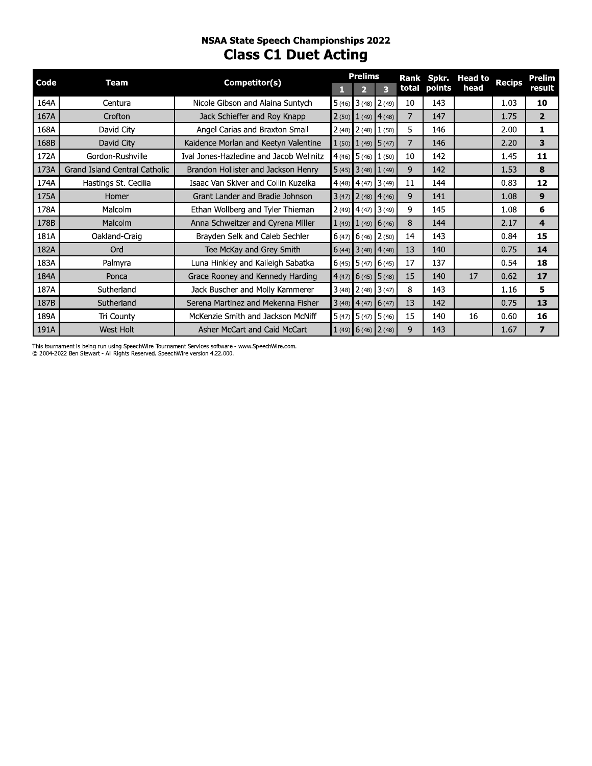## **NSAA State Speech Championships 2022 Class C1 Duet Acting**

| Code | Team                          | Competitor(s)                           |       | <b>Prelims</b>          |                         | Rank  | Spkr.  | <b>Head to</b> | <b>Recips</b> | <b>Prelim</b>           |
|------|-------------------------------|-----------------------------------------|-------|-------------------------|-------------------------|-------|--------|----------------|---------------|-------------------------|
|      |                               |                                         | п     | $\overline{\mathbf{2}}$ | 3                       | total | points | head           |               | result                  |
| 164A | Centura                       | Nicole Gibson and Alaina Suntych        | 5(46) |                         | $3(48)$ $2(49)$         | 10    | 143    |                | 1.03          | 10                      |
| 167A | Crofton                       | Jack Schieffer and Roy Knapp            | 2(50) |                         | $1(49)$ 4 (48)          | 7     | 147    |                | 1.75          | $\overline{2}$          |
| 168A | David City                    | Angel Carias and Braxton Small          | 2(48) |                         | $2(48)$ $1(50)$         | 5     | 146    |                | 2.00          | 1                       |
| 168B | David City                    | Kaidence Morlan and Keetyn Valentine    |       |                         | $1(50)$ $1(49)$ $5(47)$ | 7     | 146    |                | 2.20          | 3                       |
| 172A | Gordon-Rushville              | Ival Jones-Hazledine and Jacob Wellnitz | 4(46) |                         | $5(46)$ 1 (50)          | 10    | 142    |                | 1.45          | 11                      |
| 173A | Grand Island Central Catholic | Brandon Hollister and Jackson Henry     |       |                         | $5(45)$ 3 (48) 1 (49)   | 9     | 142    |                | 1.53          | 8                       |
| 174A | Hastings St. Cecilia          | Isaac Van Skiver and Collin Kuzelka     |       |                         | $4(48)$ $4(47)$ $3(49)$ | 11    | 144    |                | 0.83          | 12                      |
| 175A | Homer                         | Grant Lander and Bradie Johnson         |       |                         | $3(47)$ $2(48)$ $4(46)$ | 9     | 141    |                | 1.08          | 9                       |
| 178A | Malcolm                       | Ethan Wollberg and Tyler Thieman        |       |                         | $2(49)$ 4 (47) 3 (49)   | 9     | 145    |                | 1.08          | 6                       |
| 178B | Malcolm                       | Anna Schweitzer and Cyrena Miller       |       |                         | $1(49)$ $1(49)$ 6 (46)  | 8     | 144    |                | 2.17          | 4                       |
| 181A | Oakland-Craig                 | Brayden Selk and Caleb Sechler          | 6(47) |                         | $6(46)$ 2 (50)          | 14    | 143    |                | 0.84          | 15                      |
| 182A | Ord                           | Tee McKay and Grey Smith                |       |                         | $6(44)$ 3 (48) 4 (48)   | 13    | 140    |                | 0.75          | 14                      |
| 183A | Palmyra                       | Luna Hinkley and Kaileigh Sabatka       |       |                         | $6(45)$ $5(47)$ $6(45)$ | 17    | 137    |                | 0.54          | 18                      |
| 184A | Ponca                         | Grace Rooney and Kennedy Harding        |       |                         | $(4(47)$ 6 (45) 5 (48)  | 15    | 140    | 17             | 0.62          | 17                      |
| 187A | Sutherland                    | Jack Buscher and Molly Kammerer         |       |                         | $3(48)$ $2(48)$ $3(47)$ | 8     | 143    |                | 1.16          | 5                       |
| 187B | Sutherland                    | Serena Martinez and Mekenna Fisher      |       |                         | $3(48)$ 4(47) 6(47)     | 13    | 142    |                | 0.75          | 13                      |
| 189A | Tri County                    | McKenzie Smith and Jackson McNiff       |       |                         | $5(47)$ $5(47)$ $5(46)$ | 15    | 140    | 16             | 0.60          | 16                      |
| 191A | <b>West Holt</b>              | Asher McCart and Caid McCart            |       |                         | $1(49)$ 6 (46) 2 (48)   | 9     | 143    |                | 1.67          | $\overline{\mathbf{z}}$ |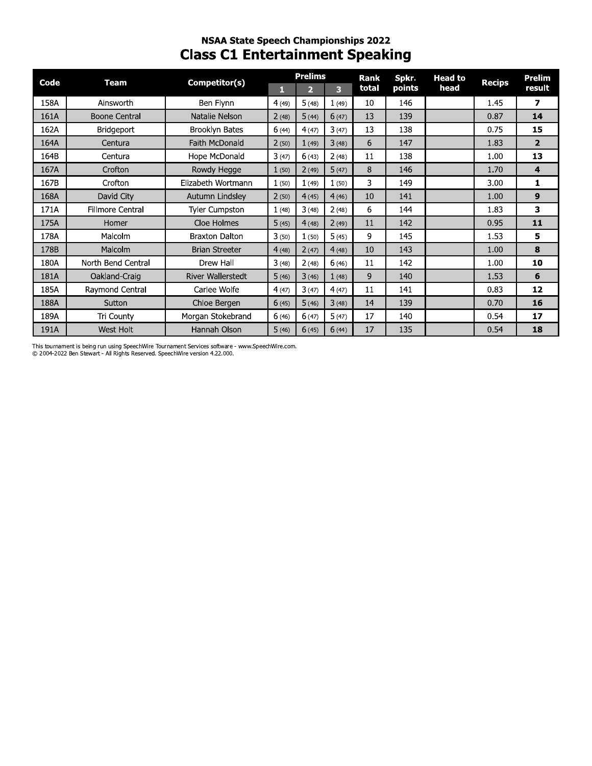# nsaa state speecn Championships 2022 Class C1 Entertainment Speaking

| Code | <b>Team</b>             | Competitor(s)            | F.    | <b>Prelims</b><br>$\overline{2}$ | 3     | <b>Rank</b><br>total | Spkr.<br>points | <b>Head to</b><br>head | <b>Recips</b> | <b>Prelim</b><br>result |
|------|-------------------------|--------------------------|-------|----------------------------------|-------|----------------------|-----------------|------------------------|---------------|-------------------------|
| 158A | Ainsworth               | Ben Flynn                | 4(49) | 5(48)                            | 1(49) | 10                   | 146             |                        | 1.45          | $\overline{\mathbf{z}}$ |
| 161A | <b>Boone Central</b>    | Natalie Nelson           | 2(48) | 5(44)                            | 6(47) | 13                   | 139             |                        | 0.87          | 14                      |
| 162A | <b>Bridgeport</b>       | <b>Brooklyn Bates</b>    | 6(44) | 4(47)                            | 3(47) | 13                   | 138             |                        | 0.75          | 15                      |
| 164A | Centura                 | Faith McDonald           | 2(50) | 1(49)                            | 3(48) | 6                    | 147             |                        | 1.83          | $\overline{2}$          |
| 164B | Centura                 | Hope McDonald            | 3(47) | 6(43)                            | 2(48) | 11                   | 138             |                        | 1.00          | 13                      |
| 167A | Crofton                 | Rowdy Hegge              | 1(50) | 2(49)                            | 5(47) | 8                    | 146             |                        | 1.70          | $\overline{\mathbf{4}}$ |
| 167B | Crofton                 | Elizabeth Wortmann       | 1(50) | 1(49)                            | 1(50) | 3                    | 149             |                        | 3.00          | $\mathbf{1}$            |
| 168A | David City              | Autumn Lindsley          | 2(50) | 4(45)                            | 4(46) | 10                   | 141             |                        | 1.00          | 9                       |
| 171A | <b>Fillmore Central</b> | <b>Tyler Cumpston</b>    | 1(48) | 3(48)                            | 2(48) | 6                    | 144             |                        | 1.83          | 3                       |
| 175A | Homer                   | Cloe Holmes              | 5(45) | 4(48)                            | 2(49) | 11                   | 142             |                        | 0.95          | 11                      |
| 178A | Malcolm                 | <b>Braxton Dalton</b>    | 3(50) | 1(50)                            | 5(45) | 9                    | 145             |                        | 1.53          | 5                       |
| 178B | Malcolm                 | <b>Brian Streeter</b>    | 4(48) | 2(47)                            | 4(48) | 10                   | 143             |                        | 1.00          | 8                       |
| 180A | North Bend Central      | Drew Hall                | 3(48) | 2(48)                            | 6(46) | 11                   | 142             |                        | 1.00          | 10                      |
| 181A | Oakland-Craig           | <b>River Wallerstedt</b> | 5(46) | 3(46)                            | 1(48) | 9                    | 140             |                        | 1.53          | 6                       |
| 185A | Raymond Central         | Carlee Wolfe             | 4(47) | 3(47)                            | 4(47) | 11                   | 141             |                        | 0.83          | 12                      |
| 188A | Sutton                  | Chloe Bergen             | 6(45) | 5(46)                            | 3(48) | 14                   | 139             |                        | 0.70          | 16                      |
| 189A | Tri County              | Morgan Stokebrand        | 6(46) | 6(47)                            | 5(47) | 17                   | 140             |                        | 0.54          | 17                      |
| 191A | West Holt               | Hannah Olson             | 5(46) | 6(45)                            | 6(44) | 17                   | 135             |                        | 0.54          | 18                      |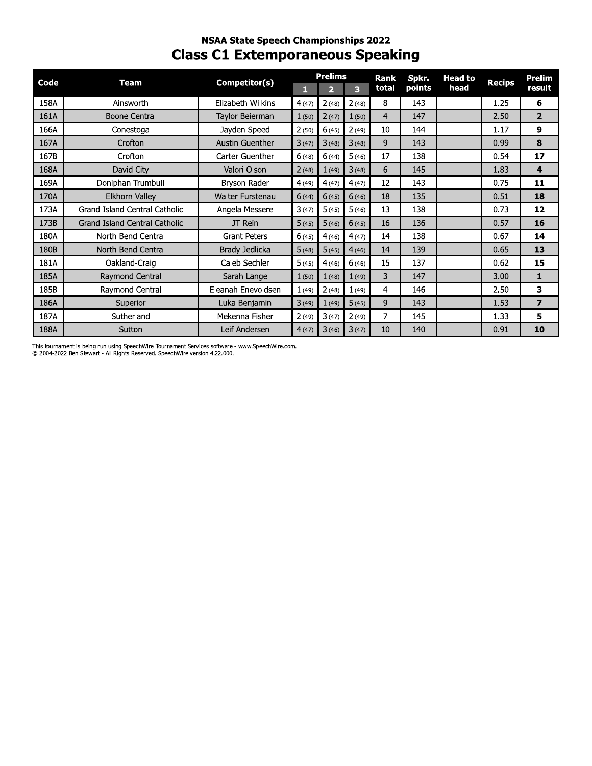## **NSAA State Speech Championships 2022 Class C1 Extemporaneous Speaking**

| Code | Team                          | Competitor(s)          |       | <b>Prelims</b> |       | Rank  | Spkr.  | <b>Head to</b> | <b>Recips</b> | Prelim         |
|------|-------------------------------|------------------------|-------|----------------|-------|-------|--------|----------------|---------------|----------------|
|      |                               |                        | П     | $\overline{2}$ | 3     | total | points | head           |               | result         |
| 158A | Ainsworth                     | Elizabeth Wilkins      | 4(47) | 2(48)          | 2(48) | 8     | 143    |                | 1.25          | 6              |
| 161A | <b>Boone Central</b>          | Taylor Beierman        | 1(50) | 2(47)          | 1(50) | 4     | 147    |                | 2.50          | $\overline{2}$ |
| 166A | Conestoga                     | Jayden Speed           | 2(50) | 6(45)          | 2(49) | 10    | 144    |                | 1.17          | 9              |
| 167A | Crofton                       | <b>Austin Guenther</b> | 3(47) | 3(48)          | 3(48) | 9     | 143    |                | 0.99          | 8              |
| 167B | Crofton                       | Carter Guenther        | 6(48) | 6(44)          | 5(46) | 17    | 138    |                | 0.54          | 17             |
| 168A | David City                    | Valori Olson           | 2(48) | 1(49)          | 3(48) | 6     | 145    |                | 1.83          | 4              |
| 169A | Doniphan-Trumbull             | Bryson Rader           | 4(49) | 4(47)          | 4(47) | 12    | 143    |                | 0.75          | 11             |
| 170A | Elkhorn Valley                | Walter Furstenau       | 6(44) | 6(45)          | 6(46) | 18    | 135    |                | 0.51          | 18             |
| 173A | Grand Island Central Catholic | Angela Messere         | 3(47) | 5(45)          | 5(46) | 13    | 138    |                | 0.73          | 12             |
| 173B | Grand Island Central Catholic | JT Rein                | 5(45) | 5(46)          | 6(45) | 16    | 136    |                | 0.57          | 16             |
| 180A | North Bend Central            | <b>Grant Peters</b>    | 6(45) | 4(46)          | 4(47) | 14    | 138    |                | 0.67          | 14             |
| 180B | North Bend Central            | Brady Jedlicka         | 5(48) | 5(45)          | 4(46) | 14    | 139    |                | 0.65          | 13             |
| 181A | Oakland-Craig                 | Caleb Sechler          | 5(45) | 4(46)          | 6(46) | 15    | 137    |                | 0.62          | 15             |
| 185A | Raymond Central               | Sarah Lange            | 1(50) | 1(48)          | 1(49) | 3     | 147    |                | 3.00          | 1              |
| 185B | Raymond Central               | Eleanah Enevoldsen     | 1(49) | 2(48)          | 1(49) | 4     | 146    |                | 2.50          | 3              |
| 186A | Superior                      | Luka Benjamin          | 3(49) | 1(49)          | 5(45) | 9     | 143    |                | 1.53          | $\overline{ }$ |
| 187A | Sutherland                    | Mekenna Fisher         | 2(49) | 3(47)          | 2(49) | 7     | 145    |                | 1.33          | 5              |
| 188A | Sutton                        | Leif Andersen          | 4(47) | 3(46)          | 3(47) | 10    | 140    |                | 0.91          | 10             |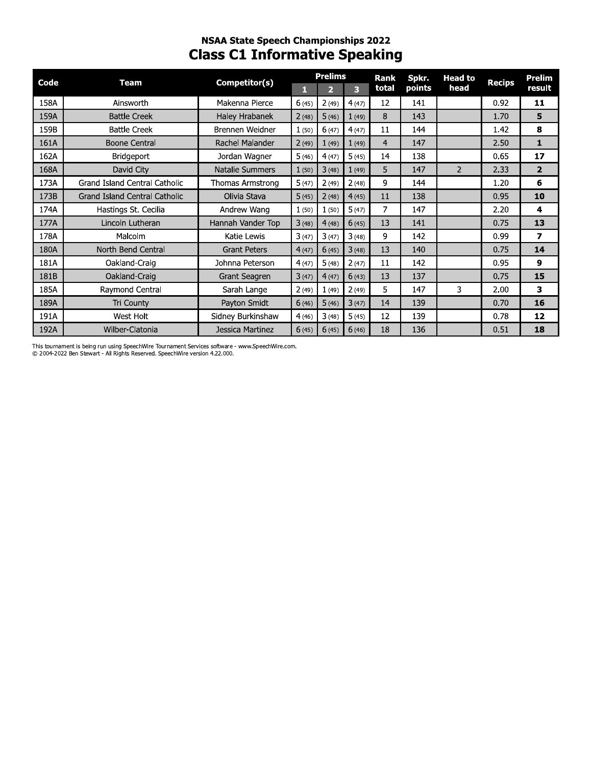## **NSAA State Speech Championships 2022 Class C1 Informative Speaking**

| Code | Team                          | Competitor(s)          |       | <b>Prelims</b> |       | <b>Rank</b> | Spkr.  | <b>Head to</b> | <b>Recips</b> | Prelim         |
|------|-------------------------------|------------------------|-------|----------------|-------|-------------|--------|----------------|---------------|----------------|
|      |                               |                        | П     | $\overline{2}$ | 3     | total       | points | head           |               | result         |
| 158A | Ainsworth                     | Makenna Pierce         | 6(45) | 2(49)          | 4(47) | 12          | 141    |                | 0.92          | 11             |
| 159A | <b>Battle Creek</b>           | Haley Hrabanek         | 2(48) | 5(46)          | 1(49) | 8           | 143    |                | 1.70          | 5              |
| 159B | <b>Battle Creek</b>           | Brennen Weidner        | 1(50) | 6(47)          | 4(47) | 11          | 144    |                | 1.42          | 8              |
| 161A | <b>Boone Central</b>          | Rachel Malander        | 2(49) | 1(49)          | 1(49) | 4           | 147    |                | 2.50          | 1              |
| 162A | Bridgeport                    | Jordan Wagner          | 5(46) | 4(47)          | 5(45) | 14          | 138    |                | 0.65          | 17             |
| 168A | David City                    | <b>Natalie Summers</b> | 1(50) | 3(48)          | 1(49) | 5           | 147    | $\overline{2}$ | 2.33          | $\overline{2}$ |
| 173A | Grand Island Central Catholic | Thomas Armstrong       | 5(47) | 2(49)          | 2(48) | 9           | 144    |                | 1.20          | 6              |
| 173B | Grand Island Central Catholic | Olivia Stava           | 5(45) | 2(48)          | 4(45) | 11          | 138    |                | 0.95          | 10             |
| 174A | Hastings St. Cecilia          | Andrew Wang            | 1(50) | 1(50)          | 5(47) | 7           | 147    |                | 2.20          | 4              |
| 177A | Lincoln Lutheran              | Hannah Vander Top      | 3(48) | 4(48)          | 6(45) | 13          | 141    |                | 0.75          | 13             |
| 178A | Malcolm                       | Katie Lewis            | 3(47) | 3(47)          | 3(48) | 9           | 142    |                | 0.99          | 7              |
| 180A | North Bend Central            | <b>Grant Peters</b>    | 4(47) | 6(45)          | 3(48) | 13          | 140    |                | 0.75          | 14             |
| 181A | Oakland-Craig                 | Johnna Peterson        | 4(47) | 5(48)          | 2(47) | 11          | 142    |                | 0.95          | 9              |
| 181B | Oakland-Craig                 | Grant Seagren          | 3(47) | 4(47)          | 6(43) | 13          | 137    |                | 0.75          | 15             |
| 185A | Raymond Central               | Sarah Lange            | 2(49) | 1(49)          | 2(49) | 5           | 147    | 3              | 2.00          | 3              |
| 189A | Tri County                    | Payton Smidt           | 6(46) | 5(46)          | 3(47) | 14          | 139    |                | 0.70          | 16             |
| 191A | West Holt                     | Sidney Burkinshaw      | 4(46) | 3(48)          | 5(45) | 12          | 139    |                | 0.78          | 12             |
| 192A | Wilber-Clatonia               | Jessica Martinez       | 6(45) | 6(45)          | 6(46) | 18          | 136    |                | 0.51          | 18             |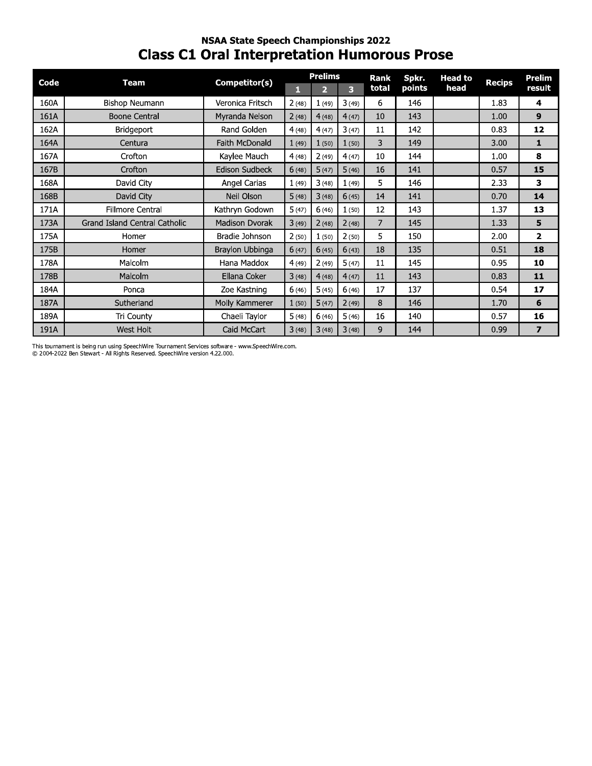## **NSAA State Speech Championships 2022 Class C1 Oral Interpretation Humorous Prose**

| Code | <b>Team</b>                   | Competitor(s)         |       | <b>Prelims</b> |       | <b>Rank</b> | Spkr.  | <b>Head to</b> |               | <b>Prelim</b>            |
|------|-------------------------------|-----------------------|-------|----------------|-------|-------------|--------|----------------|---------------|--------------------------|
|      |                               |                       | П     | $\overline{2}$ | 3     | total       | points | head           | <b>Recips</b> | result                   |
| 160A | Bishop Neumann                | Veronica Fritsch      | 2(48) | 1(49)          | 3(49) | 6           | 146    |                | 1.83          | 4                        |
| 161A | <b>Boone Central</b>          | Myranda Nelson        | 2(48) | 4(48)          | 4(47) | 10          | 143    |                | 1.00          | 9                        |
| 162A | <b>Bridgeport</b>             | Rand Golden           | 4(48) | 4(47)          | 3(47) | 11          | 142    |                | 0.83          | 12                       |
| 164A | Centura                       | Faith McDonald        | 1(49) | 1(50)          | 1(50) | 3           | 149    |                | 3.00          | 1                        |
| 167A | Crofton                       | Kaylee Mauch          | 4(48) | 2(49)          | 4(47) | 10          | 144    |                | 1.00          | 8                        |
| 167B | Crofton                       | <b>Edison Sudbeck</b> | 6(48) | 5(47)          | 5(46) | 16          | 141    |                | 0.57          | 15                       |
| 168A | David City                    | Angel Carias          | 1(49) | 3(48)          | 1(49) | 5           | 146    |                | 2.33          | 3                        |
| 168B | David City                    | Neil Olson            | 5(48) | 3(48)          | 6(45) | 14          | 141    |                | 0.70          | 14                       |
| 171A | Fillmore Central              | Kathryn Godown        | 5(47) | 6(46)          | 1(50) | 12          | 143    |                | 1.37          | 13                       |
| 173A | Grand Island Central Catholic | Madison Dvorak        | 3(49) | 2(48)          | 2(48) | 7           | 145    |                | 1.33          | 5                        |
| 175A | Homer                         | Bradie Johnson        | 2(50) | 1(50)          | 2(50) | 5           | 150    |                | 2.00          | $\overline{2}$           |
| 175B | Homer                         | Braylon Ubbinga       | 6(47) | 6(45)          | 6(43) | 18          | 135    |                | 0.51          | 18                       |
| 178A | Malcolm                       | Hana Maddox           | 4(49) | 2(49)          | 5(47) | 11          | 145    |                | 0.95          | 10                       |
| 178B | Malcolm                       | Ellana Coker          | 3(48) | 4(48)          | 4(47) | 11          | 143    |                | 0.83          | 11                       |
| 184A | Ponca                         | Zoe Kastning          | 6(46) | 5(45)          | 6(46) | 17          | 137    |                | 0.54          | 17                       |
| 187A | Sutherland                    | Molly Kammerer        | 1(50) | 5(47)          | 2(49) | 8           | 146    |                | 1.70          | 6                        |
| 189A | Tri County                    | Chaeli Taylor         | 5(48) | 6(46)          | 5(46) | 16          | 140    |                | 0.57          | 16                       |
| 191A | West Holt                     | Caid McCart           | 3(48) | 3(48)          | 3(48) | 9           | 144    |                | 0.99          | $\overline{\phantom{a}}$ |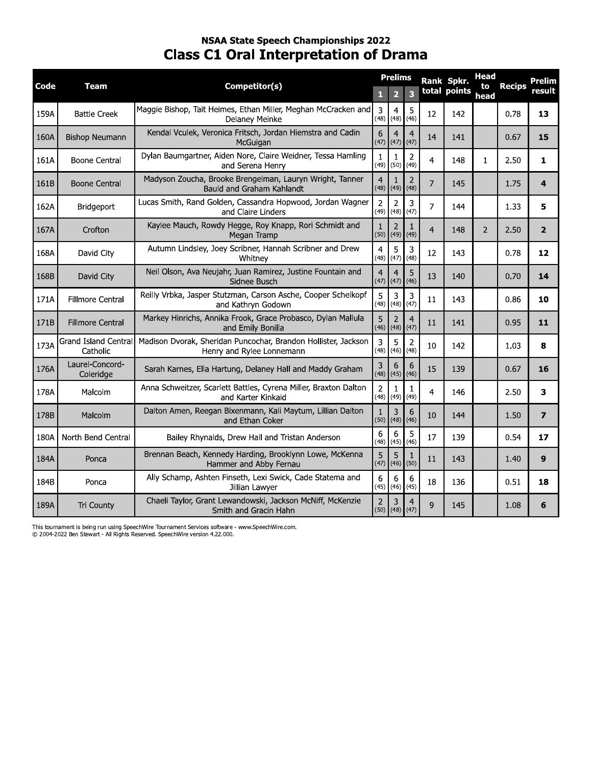## **NSAA State Speech Championships 2022 Class C1 Oral Interpretation of Drama**

| Code | Team                             | Competitor(s)                                                                               |                             | <b>Prelims</b><br>2       | $\overline{\mathbf{3}}$ |                | Rank Spkr.<br>total points | Head<br>to     | <b>Recips</b> | Prelim<br>result |
|------|----------------------------------|---------------------------------------------------------------------------------------------|-----------------------------|---------------------------|-------------------------|----------------|----------------------------|----------------|---------------|------------------|
| 159A | <b>Battle Creek</b>              | Maggie Bishop, Tait Heimes, Ethan Miller, Meghan McCracken and<br>Delaney Meinke            | 1<br>$\overline{3}$<br>(48) | 4<br>(48)                 | 5<br>(46)               | 12             | 142                        | head           | 0.78          | 13               |
| 160A | <b>Bishop Neumann</b>            | Kendal Vculek, Veronica Fritsch, Jordan Hiemstra and Cadin<br>McGuigan                      | 6<br>(47)                   | $\overline{4}$<br>(47)    | 4<br>(47)               | 14             | 141                        |                | 0.67          | 15               |
| 161A | <b>Boone Central</b>             | Dylan Baumgartner, Aiden Nore, Claire Weidner, Tessa Hamling<br>and Serena Henry            | $\mathbf{1}$                | 1<br>$(49)$ (50)          | $\overline{2}$<br>(49)  | 4              | 148                        | $\mathbf{1}$   | 2.50          | 1                |
| 161B | <b>Boone Central</b>             | Madyson Zoucha, Brooke Brengelman, Lauryn Wright, Tanner<br>Bauld and Graham Kahlandt       | $\overline{4}$<br>(48)      | 1<br>(49)                 | 2<br>(48)               | $\overline{7}$ | 145                        |                | 1.75          | 4                |
| 162A | Bridgeport                       | Lucas Smith, Rand Golden, Cassandra Hopwood, Jordan Wagner<br>and Claire Linders            | $\overline{2}$<br>(49)      | $\overline{2}$<br>(48)    | 3<br>(47)               | $\overline{7}$ | 144                        |                | 1.33          | 5                |
| 167A | Crofton                          | Kaylee Mauch, Rowdy Hegge, Roy Knapp, Rori Schmidt and<br>Megan Tramp                       | $\mathbf{1}$<br>(50)        | 2<br>(49)                 | 1<br>(49)               | $\overline{4}$ | 148                        | $\overline{2}$ | 2.50          | $\overline{2}$   |
| 168A | David City                       | Autumn Lindsley, Joey Scribner, Hannah Scribner and Drew<br>Whitney                         | $\overline{4}$<br>(48)      | 5<br>(47)                 | 3<br>(48)               | 12             | 143                        |                | 0.78          | 12               |
| 168B | David City                       | Neil Olson, Ava Neujahr, Juan Ramirez, Justine Fountain and<br>Sidnee Busch                 | $\overline{4}$<br>(47)      | 4<br>(47)                 | 5<br>(46)               | 13             | 140                        |                | 0.70          | 14               |
| 171A | <b>Fillmore Central</b>          | Reilly Vrbka, Jasper Stutzman, Carson Asche, Cooper Schelkopf<br>and Kathryn Godown         | 5<br>(48)                   | 3<br>(48)                 | 3<br>(47)               | 11             | 143                        |                | 0.86          | 10               |
| 171B | <b>Fillmore Central</b>          | Markey Hinrichs, Annika Frook, Grace Probasco, Dylan Mallula<br>and Emily Bonilla           | 5<br>(46)                   | $\overline{2}$<br>(48)    | $\overline{4}$<br>(47)  | 11             | 141                        |                | 0.95          | 11               |
| 173A | Grand Island Central<br>Catholic | Madison Dvorak, Sheridan Puncochar, Brandon Hollister, Jackson<br>Henry and Rylee Lonnemann | 3<br>(48)                   | 5<br>(46)                 | $\overline{2}$<br>(48)  | 10             | 142                        |                | 1.03          | 8                |
| 176A | Laurel-Concord-<br>Coleridge     | Sarah Karnes, Ella Hartung, Delaney Hall and Maddy Graham                                   | 3<br>(48)                   | 6<br>(45)                 | 6<br>(46)               | 15             | 139                        |                | 0.67          | 16               |
| 178A | Malcolm                          | Anna Schweitzer, Scarlett Battles, Cyrena Miller, Braxton Dalton<br>and Karter Kinkaid      | $\overline{2}$<br>(48)      | 1<br>(49)                 | 1<br>(49)               | 4              | 146                        |                | 2.50          | 3                |
| 178B | Malcolm                          | Dalton Amen, Reegan Bixenmann, Kali Maytum, Lillian Dalton<br>and Ethan Coker               | $\mathbf{1}$<br>(50)        | 3<br>(48)                 | 6<br>(46)               | 10             | 144                        |                | 1.50          | $\overline{7}$   |
| 180A | North Bend Central               | Bailey Rhynalds, Drew Hall and Tristan Anderson                                             | 6<br>(48)                   | 6<br>(45)                 | 5<br>(46)               | 17             | 139                        |                | 0.54          | 17               |
| 184A | Ponca                            | Brennan Beach, Kennedy Harding, Brooklynn Lowe, McKenna<br>Hammer and Abby Fernau           | 5<br>(47)                   | 5<br>$(46)$ (50)          | 1                       | 11             | 143                        |                | 1.40          | 9                |
| 184B | Ponca                            | Ally Schamp, Ashten Finseth, Lexi Swick, Cade Statema and<br>Jillian Lawyer                 | 6<br>(45)                   | 6<br>(46)                 | 6<br>(45)               | 18             | 136                        |                | 0.51          | 18               |
| 189A | Tri County                       | Chaeli Taylor, Grant Lewandowski, Jackson McNiff, McKenzie<br>Smith and Gracin Hahn         | $\overline{2}$              | 3<br>$(50)$ $(48)$ $(47)$ | $\overline{4}$          | 9              | 145                        |                | 1.08          | 6                |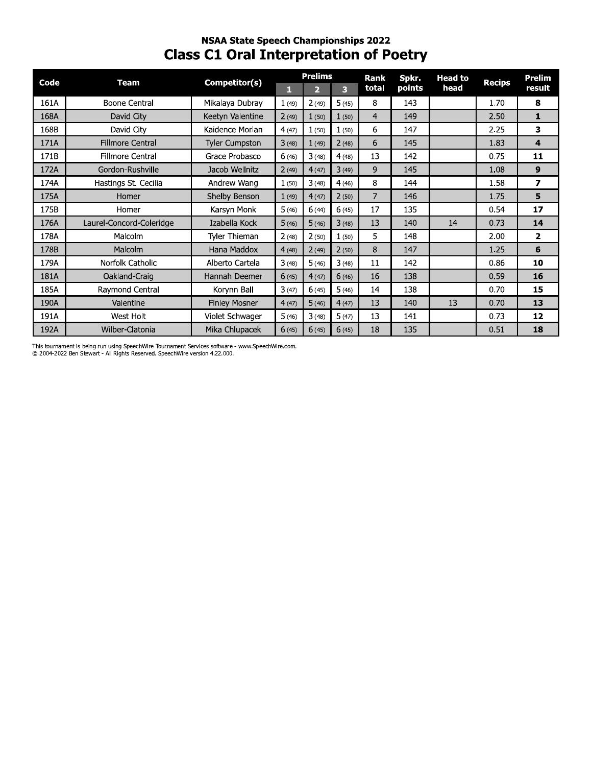## **NSAA State Speech Championships 2022 Class C1 Oral Interpretation of Poetry**

| Code | Team                     | Competitor(s)         |       | <b>Prelims</b> |       | <b>Rank</b>    | Spkr.  | <b>Head to</b> | <b>Recips</b> | Prelim                  |
|------|--------------------------|-----------------------|-------|----------------|-------|----------------|--------|----------------|---------------|-------------------------|
|      |                          |                       | 1     | $\overline{2}$ | 3     | total          | points | head           |               | result                  |
| 161A | <b>Boone Central</b>     | Mikalaya Dubray       | 1(49) | 2(49)          | 5(45) | 8              | 143    |                | 1.70          | 8                       |
| 168A | David City               | Keetyn Valentine      | 2(49) | 1(50)          | 1(50) | $\overline{4}$ | 149    |                | 2.50          | $\mathbf{1}$            |
| 168B | David City               | Kaidence Morlan       | 4(47) | 1(50)          | 1(50) | 6              | 147    |                | 2.25          | 3                       |
| 171A | <b>Fillmore Central</b>  | <b>Tyler Cumpston</b> | 3(48) | 1(49)          | 2(48) | 6              | 145    |                | 1.83          | 4                       |
| 171B | <b>Fillmore Central</b>  | Grace Probasco        | 6(46) | 3(48)          | 4(48) | 13             | 142    |                | 0.75          | 11                      |
| 172A | Gordon-Rushville         | Jacob Wellnitz        | 2(49) | 4(47)          | 3(49) | 9              | 145    |                | 1.08          | 9                       |
| 174A | Hastings St. Cecilia     | Andrew Wang           | 1(50) | 3(48)          | 4(46) | 8              | 144    |                | 1.58          | $\overline{\mathbf{z}}$ |
| 175A | Homer                    | Shelby Benson         | 1(49) | 4(47)          | 2(50) | 7              | 146    |                | 1.75          | 5                       |
| 175B | Homer                    | Karsyn Monk           | 5(46) | 6(44)          | 6(45) | 17             | 135    |                | 0.54          | 17                      |
| 176A | Laurel-Concord-Coleridge | Izabella Kock         | 5(46) | 5(46)          | 3(48) | 13             | 140    | 14             | 0.73          | 14                      |
| 178A | Malcolm                  | Tyler Thieman         | 2(48) | 2(50)          | 1(50) | 5              | 148    |                | 2.00          | $\overline{2}$          |
| 178B | <b>Malcolm</b>           | Hana Maddox           | 4(48) | 2(49)          | 2(50) | 8              | 147    |                | 1.25          | 6                       |
| 179A | Norfolk Catholic         | Alberto Cartela       | 3(48) | 5(46)          | 3(48) | 11             | 142    |                | 0.86          | 10                      |
| 181A | Oakland-Craig            | Hannah Deemer         | 6(45) | 4(47)          | 6(46) | 16             | 138    |                | 0.59          | 16                      |
| 185A | Raymond Central          | Korynn Ball           | 3(47) | 6(45)          | 5(46) | 14             | 138    |                | 0.70          | 15                      |
| 190A | Valentine                | <b>Finley Mosner</b>  | 4(47) | 5(46)          | 4(47) | 13             | 140    | 13             | 0.70          | 13                      |
| 191A | West Holt                | Violet Schwager       | 5(46) | 3(48)          | 5(47) | 13             | 141    |                | 0.73          | 12                      |
| 192A | Wilber-Clatonia          | Mika Chlupacek        | 6(45) | 6(45)          | 6(45) | 18             | 135    |                | 0.51          | 18                      |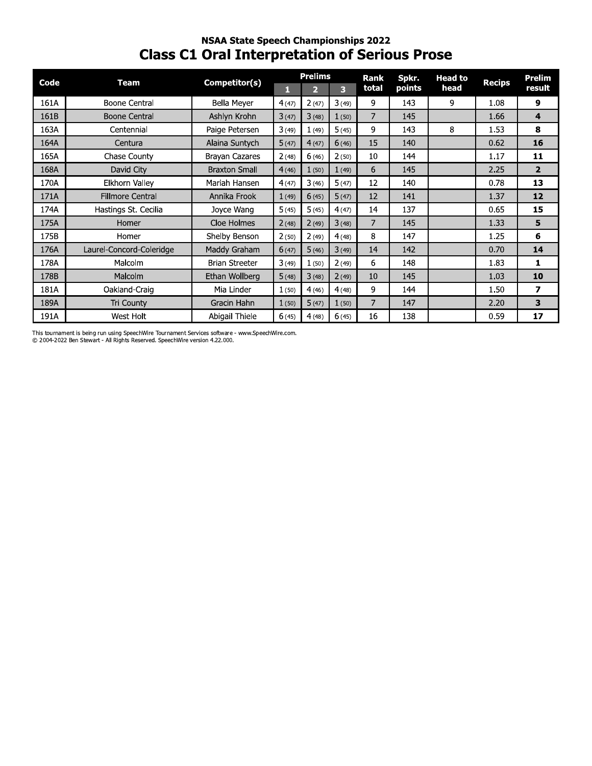## **NSAA State Speech Championships 2022 Class C1 Oral Interpretation of Serious Prose**

| Code | Team                     | Competitor(s)         |       | <b>Prelims</b> |       | <b>Rank</b> | Spkr.  | <b>Head to</b> |               | <b>Prelim</b>  |
|------|--------------------------|-----------------------|-------|----------------|-------|-------------|--------|----------------|---------------|----------------|
|      |                          |                       | 1     | $\overline{2}$ | 3     | total       | points | head           | <b>Recips</b> | result         |
| 161A | Boone Central            | Bella Meyer           | 4(47) | 2(47)          | 3(49) | 9           | 143    | 9              | 1.08          | 9              |
| 161B | <b>Boone Central</b>     | Ashlyn Krohn          | 3(47) | 3(48)          | 1(50) | 7           | 145    |                | 1.66          | 4              |
| 163A | Centennial               | Paige Petersen        | 3(49) | 1(49)          | 5(45) | 9           | 143    | 8              | 1.53          | 8              |
| 164A | Centura                  | Alaina Suntych        | 5(47) | 4(47)          | 6(46) | 15          | 140    |                | 0.62          | 16             |
| 165A | Chase County             | <b>Brayan Cazares</b> | 2(48) | 6(46)          | 2(50) | 10          | 144    |                | 1.17          | 11             |
| 168A | David City               | <b>Braxton Small</b>  | 4(46) | 1(50)          | 1(49) | 6           | 145    |                | 2.25          | $\overline{2}$ |
| 170A | Elkhorn Valley           | Mariah Hansen         | 4(47) | 3(46)          | 5(47) | 12          | 140    |                | 0.78          | 13             |
| 171A | <b>Fillmore Central</b>  | Annika Frook          | 1(49) | 6(45)          | 5(47) | 12          | 141    |                | 1.37          | 12             |
| 174A | Hastings St. Cecilia     | Joyce Wang            | 5(45) | 5(45)          | 4(47) | 14          | 137    |                | 0.65          | 15             |
| 175A | Homer                    | Cloe Holmes           | 2(48) | 2(49)          | 3(48) | 7           | 145    |                | 1.33          | 5              |
| 175B | Homer                    | Shelby Benson         | 2(50) | 2(49)          | 4(48) | 8           | 147    |                | 1.25          | 6              |
| 176A | Laurel-Concord-Coleridge | Maddy Graham          | 6(47) | 5(46)          | 3(49) | 14          | 142    |                | 0.70          | 14             |
| 178A | Malcolm                  | <b>Brian Streeter</b> | 3(49) | 1(50)          | 2(49) | 6           | 148    |                | 1.83          | 1              |
| 178B | Malcolm                  | Ethan Wollberg        | 5(48) | 3(48)          | 2(49) | 10          | 145    |                | 1.03          | 10             |
| 181A | Oakland-Craig            | Mia Linder            | 1(50) | 4(46)          | 4(48) | 9           | 144    |                | 1.50          | 7              |
| 189A | Tri County               | Gracin Hahn           | 1(50) | 5(47)          | 1(50) | 7           | 147    |                | 2.20          | 3              |
| 191A | West Holt                | Abigail Thiele        | 6(45) | 4(48)          | 6(45) | 16          | 138    |                | 0.59          | 17             |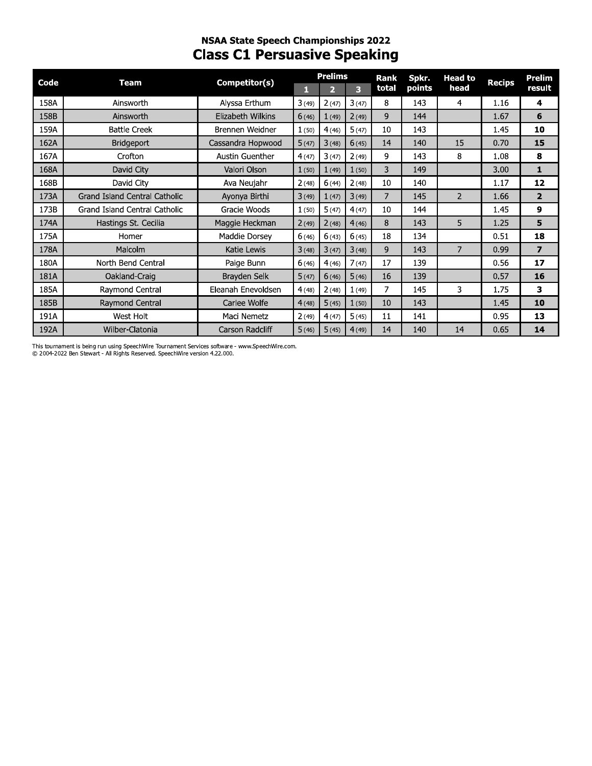## **NSAA State Speech Championships 2022 Class C1 Persuasive Speaking**

| Code |                               | Competitor(s)      |       | <b>Prelims</b> |       | Rank           | Spkr.  | <b>Head to</b> |               | Prelim         |
|------|-------------------------------|--------------------|-------|----------------|-------|----------------|--------|----------------|---------------|----------------|
|      | Team                          |                    | п     | 2              | 3     | total          | points | head           | <b>Recips</b> | result         |
| 158A | Ainsworth                     | Alyssa Erthum      | 3(49) | 2(47)          | 3(47) | 8              | 143    | 4              | 1.16          | 4              |
| 158B | Ainsworth                     | Elizabeth Wilkins  | 6(46) | 1(49)          | 2(49) | 9              | 144    |                | 1.67          | 6              |
| 159A | <b>Battle Creek</b>           | Brennen Weidner    | 1(50) | 4(46)          | 5(47) | 10             | 143    |                | 1.45          | 10             |
| 162A | Bridgeport                    | Cassandra Hopwood  | 5(47) | 3(48)          | 6(45) | 14             | 140    | 15             | 0.70          | 15             |
| 167A | Crofton                       | Austin Guenther    | 4(47) | 3(47)          | 2(49) | 9              | 143    | 8              | 1.08          | 8              |
| 168A | David City                    | Valori Olson       | 1(50) | 1(49)          | 1(50) | 3              | 149    |                | 3.00          | $\mathbf{1}$   |
| 168B | David City                    | Ava Neujahr        | 2(48) | 6(44)          | 2(48) | 10             | 140    |                | 1.17          | 12             |
| 173A | Grand Island Central Catholic | Ayonya Birthi      | 3(49) | 1(47)          | 3(49) | $\overline{7}$ | 145    | $\mathcal{P}$  | 1.66          | $\mathbf{2}$   |
| 173B | Grand Island Central Catholic | Gracie Woods       | 1(50) | 5(47)          | 4(47) | 10             | 144    |                | 1.45          | 9              |
| 174A | Hastings St. Cecilia          | Maggie Heckman     | 2(49) | 2(48)          | 4(46) | 8              | 143    | 5              | 1.25          | 5              |
| 175A | Homer                         | Maddie Dorsey      | 6(46) | 6(43)          | 6(45) | 18             | 134    |                | 0.51          | 18             |
| 178A | Malcolm                       | Katie Lewis        | 3(48) | 3(47)          | 3(48) | 9              | 143    | 7              | 0.99          | $\overline{7}$ |
| 180A | North Bend Central            | Paige Bunn         | 6(46) | 4(46)          | 7(47) | 17             | 139    |                | 0.56          | 17             |
| 181A | Oakland-Craig                 | Brayden Selk       | 5(47) | 6(46)          | 5(46) | 16             | 139    |                | 0.57          | 16             |
| 185A | Raymond Central               | Eleanah Enevoldsen | 4(48) | 2(48)          | 1(49) | 7              | 145    | 3              | 1.75          | 3              |
| 185B | Raymond Central               | Carlee Wolfe       | 4(48) | 5(45)          | 1(50) | 10             | 143    |                | 1.45          | 10             |
| 191A | West Holt                     | Maci Nemetz        | 2(49) | 4(47)          | 5(45) | 11             | 141    |                | 0.95          | 13             |
| 192A | Wilber-Clatonia               | Carson Radcliff    | 5(46) | 5(45)          | 4(49) | 14             | 140    | 14             | 0.65          | 14             |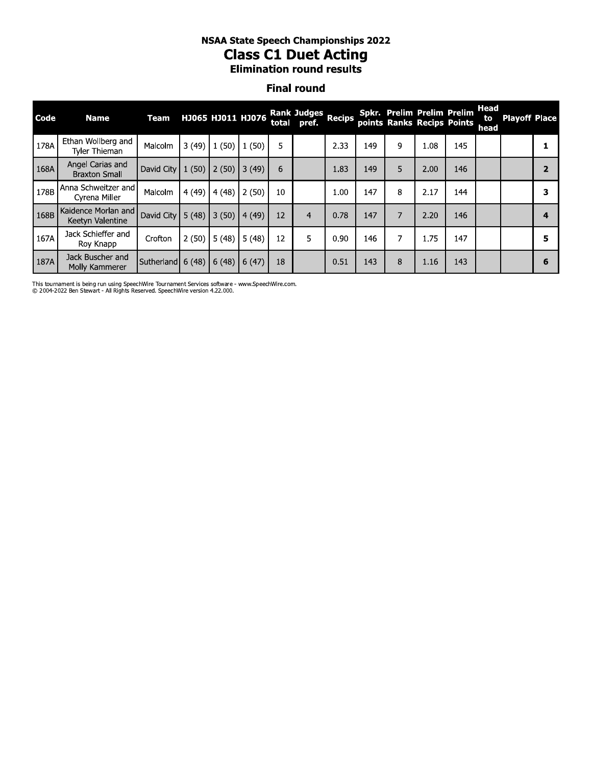# nsaa state speecn Championships 2022 **Class C1 Duet Acting**

### **Final round**

|      |                                          |                    |        |                   |       |    | NSAA State Speech Championships 2022<br><b>Class C1 Duet Acting</b><br><b>Elimination round results</b> |               |     |                                                          |      |     |                           |                      |                |
|------|------------------------------------------|--------------------|--------|-------------------|-------|----|---------------------------------------------------------------------------------------------------------|---------------|-----|----------------------------------------------------------|------|-----|---------------------------|----------------------|----------------|
|      |                                          |                    |        |                   |       |    | <b>Final round</b>                                                                                      |               |     |                                                          |      |     |                           |                      |                |
| Code | <b>Name</b>                              | Team               |        | HJ065 HJ011 HJ076 |       |    | <b>Rank Judges</b><br>total pref.                                                                       | <b>Recips</b> |     | Spkr. Prelim Prelim Prelim<br>points Ranks Recips Points |      |     | <b>Head</b><br>to<br>head | <b>Playoff Place</b> |                |
| 178A | Ethan Wollberg and<br>Tyler Thieman      | Malcolm            | 3(49)  | 1(50)             | 1(50) | 5  |                                                                                                         | 2.33          | 149 | 9                                                        | 1.08 | 145 |                           |                      | 1              |
| 168A | Angel Carias and<br><b>Braxton Small</b> | David City $1(50)$ |        | 2(50)             | 3(49) | 6  |                                                                                                         | 1.83          | 149 | 5                                                        | 2.00 | 146 |                           |                      | $\overline{2}$ |
| 178B | Anna Schweitzer and<br>Cyrena Miller     | Malcolm            | 4(49)  | 4(48)             | 2(50) | 10 |                                                                                                         | 1.00          | 147 | 8                                                        | 2.17 | 144 |                           |                      | 3              |
| 168B | Kaidence Morlan and<br>Keetyn Valentine  | David City         | 15(48) | 3(50)             | 4(49) | 12 | $\overline{4}$                                                                                          | 0.78          | 147 | 7                                                        | 2.20 | 146 |                           |                      | 4              |
| 167A | Jack Schieffer and<br>Roy Knapp          | Crofton            | 2(50)  | 5(48)             | 5(48) | 12 | 5                                                                                                       | 0.90          | 146 | 7                                                        | 1.75 | 147 |                           |                      | 5              |
| 187A | Jack Buscher and<br>Molly Kammerer       | Sutherland $6(48)$ |        | 6(48)             | 6(47) | 18 |                                                                                                         | 0.51          | 143 | 8                                                        | 1.16 | 143 |                           |                      | 6              |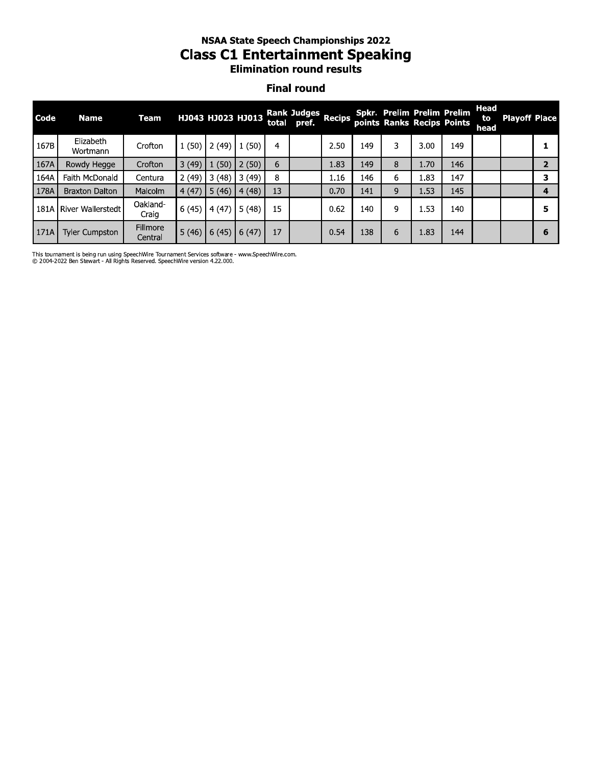## **NSAA State Speech Championships 2022 Class C1 Entertainment Speaking Elimination round results**

#### **Final round**

| Code   | <b>Name</b>              | <b>Team</b>         |       | HJ043 HJ023 HJ013 |       | total | <b>Rank Judges</b><br>pref. | <b>Recips</b> |     | Spkr. Prelim Prelim Prelim |      | points Ranks Recips Points | Head<br>to<br>head | <b>Playoff Place</b> |   |
|--------|--------------------------|---------------------|-------|-------------------|-------|-------|-----------------------------|---------------|-----|----------------------------|------|----------------------------|--------------------|----------------------|---|
| 167B   | Elizabeth<br>Wortmann    | Crofton             | 1(50) | 2(49)             | (50)  | 4     |                             | 2.50          | 149 | 3                          | 3.00 | 149                        |                    |                      |   |
| 167A   | Rowdy Hegge              | Crofton             | 3(49) | (50)              | 2(50) | 6     |                             | 1.83          | 149 | 8                          | 1.70 | 146                        |                    |                      |   |
| 164A   | Faith McDonald           | Centura             | 2(49) | (48)<br>3         | 3(49) | 8     |                             | 1.16          | 146 | 6                          | 1.83 | 147                        |                    |                      |   |
| 178A   | <b>Braxton Dalton</b>    | Malcolm             | 4(47) | (46)<br>5         | 4(48) | 13    |                             | 0.70          | 141 | 9                          | 1.53 | 145                        |                    |                      |   |
| 181A I | <b>River Wallerstedt</b> | Oakland-<br>Craig   | 6(45) | (47)<br>4         | 5(48) | 15    |                             | 0.62          | 140 | 9                          | 1.53 | 140                        |                    |                      |   |
| 171A   | <b>Tyler Cumpston</b>    | Fillmore<br>Central | 5(46) | 6(45)             | 6(47) | 17    |                             | 0.54          | 138 | 6                          | 1.83 | 144                        |                    |                      | 6 |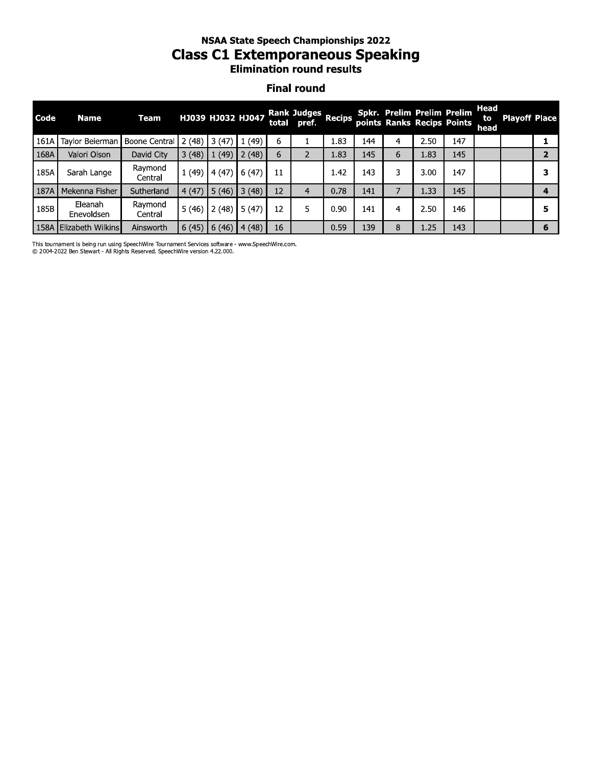### nsaa state speecn Championships 2022 Class C1 Extemporaneous Speaking **Elimination round results**

#### **Final round**

|      | <b>NSAA State Speech Championships 2022</b><br><b>Class C1 Extemporaneous Speaking</b><br><b>Elimination round results</b><br><b>Final round</b> |                    |       |                          |       |    |                                   |               |     |   |                                                          |     |                    |                      |              |
|------|--------------------------------------------------------------------------------------------------------------------------------------------------|--------------------|-------|--------------------------|-------|----|-----------------------------------|---------------|-----|---|----------------------------------------------------------|-----|--------------------|----------------------|--------------|
| Code | <b>Name</b>                                                                                                                                      | <b>Team</b>        |       | <b>НЈОЗ9 НЈОЗ2 НЈО47</b> |       |    | <b>Rank Judges</b><br>total pref. | <b>Recips</b> |     |   | Spkr. Prelim Prelim Prelim<br>points Ranks Recips Points |     | Head<br>to<br>head | <b>Playoff Place</b> |              |
| 161A | Taylor Beierman                                                                                                                                  | Boone Central      | 2(48) | 3(47)                    | 1(49) | 6  |                                   | 1.83          | 144 | 4 | 2.50                                                     | 147 |                    |                      | 1            |
| 168A | Valori Olson                                                                                                                                     | David City         | 3(48) | 1(49)                    | 2(48) | 6  | 2                                 | 1.83          | 145 | 6 | 1.83                                                     | 145 |                    |                      | $\mathbf{2}$ |
| 185A | Sarah Lange                                                                                                                                      | Ravmond<br>Central | 1(49) | 4(47)                    | 6(47) | 11 |                                   | 1.42          | 143 | 3 | 3.00                                                     | 147 |                    |                      | 3            |
| 187A | Mekenna Fisher                                                                                                                                   | Sutherland         | 4(47) | 5(46)                    | 3(48) | 12 | 4                                 | 0.78          | 141 | 7 | 1.33                                                     | 145 |                    |                      | 4            |
| 185B | Eleanah<br>Enevoldsen                                                                                                                            | Raymond<br>Central | 5(46) | 2(48)                    | 5(47) | 12 | 5                                 | 0.90          | 141 | 4 | 2.50                                                     | 146 |                    |                      | 5            |
|      | 158A Elizabeth Wilkins                                                                                                                           | Ainsworth          | 6(45) | 6(46)                    | 4(48) | 16 |                                   | 0.59          | 139 | 8 | 1.25                                                     | 143 |                    |                      | 6            |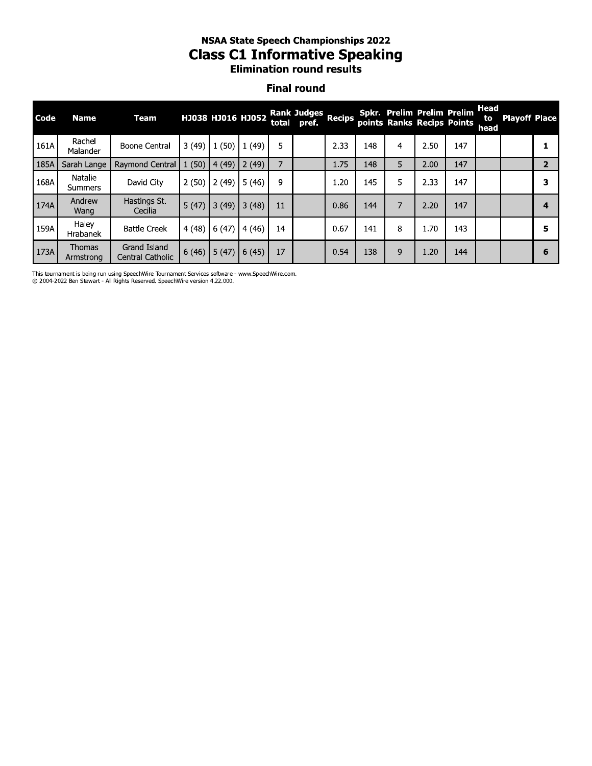# **NSAA State Speech Championships 2022 Class C1 Informative Speaking**<br>Elimination round results

#### **Final round**

| Code | <b>Name</b>                | Team                             |       | НЈОЗ8 НЈО16 НЈО52 |       | total | Rank Judges Recips<br>pref. |      |     |   | Spkr. Prelim Prelim Prelim<br>points Ranks Recips Points |     | Head<br>to<br>head | <b>Playoff Place</b> |   |
|------|----------------------------|----------------------------------|-------|-------------------|-------|-------|-----------------------------|------|-----|---|----------------------------------------------------------|-----|--------------------|----------------------|---|
| 161A | Rachel<br>Malander         | <b>Boone Central</b>             | 3(49) | 1(50)             | 1(49) | 5     |                             | 2.33 | 148 | 4 | 2.50                                                     | 147 |                    |                      |   |
| 185A | Sarah Lange                | Raymond Central                  | 1(50) | 4(49)             | 2(49) |       |                             | 1.75 | 148 | 5 | 2.00                                                     | 147 |                    |                      |   |
| 168A | Natalie<br><b>Summers</b>  | David City                       | 2(50) | 2(49)             | 5(46) | 9     |                             | 1.20 | 145 | 5 | 2.33                                                     | 147 |                    |                      | 3 |
| 174A | Andrew<br>Wang             | Hastings St.<br>Cecilia          | 5(47) | 3(49)             | 3(48) | 11    |                             | 0.86 | 144 | 7 | 2.20                                                     | 147 |                    |                      | 4 |
| 159A | Halev<br>Hrabanek          | <b>Battle Creek</b>              | 4(48) | 6(47)             | 4(46) | 14    |                             | 0.67 | 141 | 8 | 1.70                                                     | 143 |                    |                      | 5 |
| 173A | <b>Thomas</b><br>Armstrong | Grand Island<br>Central Catholic | 6(46) | 5(47)             | 6(45) | 17    |                             | 0.54 | 138 | 9 | 1.20                                                     | 144 |                    |                      | 6 |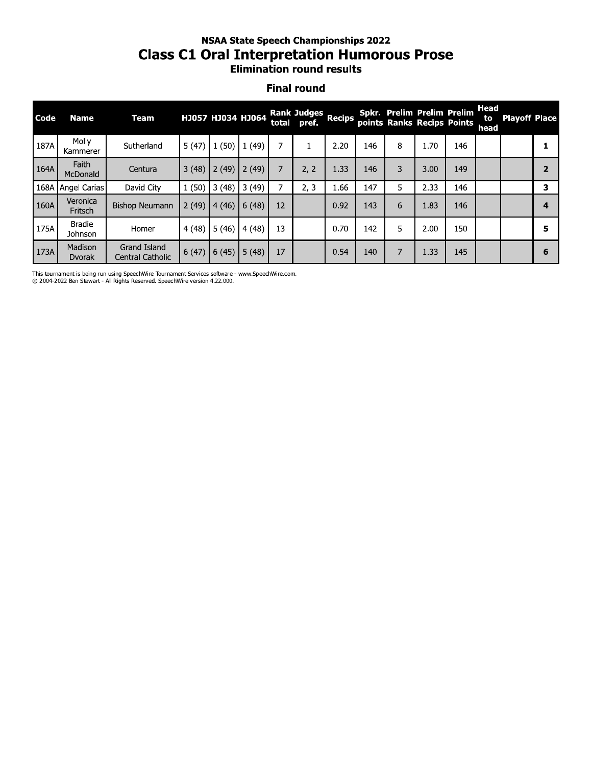# **NSAA State Speech Championships 2022 Class C1 Oral Interpretation Humorous Prose**<br>Elimination round results

#### **Final round**

| Code | <b>Name</b>               | Team                                    |       | HJ057 HJ034 HJ064 |        | total | <b>Rank Judges</b><br>pref. | <b>Recips</b> |     |   | Spkr. Prelim Prelim Prelim<br>points Ranks Recips Points |     | Head<br>to<br>head | <b>Playoff Place</b> |   |
|------|---------------------------|-----------------------------------------|-------|-------------------|--------|-------|-----------------------------|---------------|-----|---|----------------------------------------------------------|-----|--------------------|----------------------|---|
| 187A | Molly<br>Kammerer         | Sutherland                              | 5(47) | 1(50)             | 1(49)  | 7     |                             | 2.20          | 146 | 8 | 1.70                                                     | 146 |                    |                      |   |
| 164A | Faith<br>McDonald         | Centura                                 | 3(48) | 2(49)             | 2(49)  | 7     | 2, 2                        | 1.33          | 146 | 3 | 3.00                                                     | 149 |                    |                      |   |
| 168A | Angel Carias              | David City                              | 1(50) | 3(48)             | 3(49)  |       | 2, 3                        | 1.66          | 147 | 5 | 2.33                                                     | 146 |                    |                      | 3 |
| 160A | Veronica<br>Fritsch       | <b>Bishop Neumann</b>                   | 2(49) | 4(46)             | 6(48)  | 12    |                             | 0.92          | 143 | 6 | 1.83                                                     | 146 |                    |                      | 4 |
| 175A | <b>Bradie</b><br>Johnson  | Homer                                   | 4(48) | 5(46)             | 4(48)  | 13    |                             | 0.70          | 142 | 5 | 2.00                                                     | 150 |                    |                      | 5 |
| 173A | Madison<br><b>D</b> vorak | Grand Island<br><b>Central Catholic</b> | 6(47) | 6(45)             | 15(48) | 17    |                             | 0.54          | 140 | 7 | 1.33                                                     | 145 |                    |                      | 6 |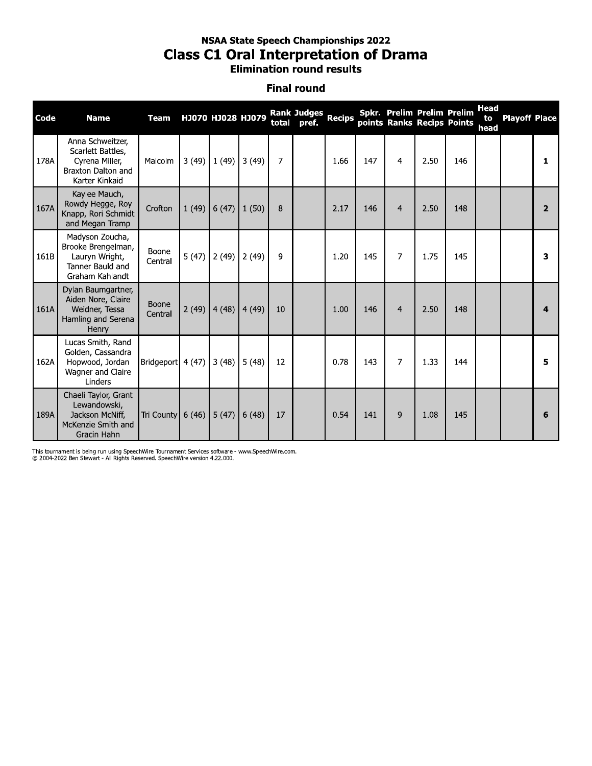## **NSAA State Speech Championships 2022 Class C1 Oral Interpretation of Drama** Elimination round results

#### **Final round**

| Code | <b>Name</b>                                                                                     | <b>Team</b>        |       |       | HJ070 HJ028 HJ079 |                | Rank Judges Recips<br>total pref. |      |     |                | Spkr. Prelim Prelim Prelim<br>points Ranks Recips Points |     | <b>Head</b><br>to<br>head | <b>Playoff Place</b> |                       |
|------|-------------------------------------------------------------------------------------------------|--------------------|-------|-------|-------------------|----------------|-----------------------------------|------|-----|----------------|----------------------------------------------------------|-----|---------------------------|----------------------|-----------------------|
| 178A | Anna Schweitzer,<br>Scarlett Battles,<br>Cyrena Miller,<br>Braxton Dalton and<br>Karter Kinkaid | Malcolm            | 3(49) | 1(49) | 3(49)             | $\overline{7}$ |                                   | 1.66 | 147 | 4              | 2.50                                                     | 146 |                           |                      | 1                     |
| 167A | Kaylee Mauch,<br>Rowdy Hegge, Roy<br>Knapp, Rori Schmidt<br>and Megan Tramp                     | Crofton            | 1(49) |       | $6(47)$ $1(50)$   | 8              |                                   | 2.17 | 146 | $\overline{4}$ | 2.50                                                     | 148 |                           |                      | $\overline{2}$        |
| 161B | Madyson Zoucha,<br>Brooke Brengelman,<br>Lauryn Wright,<br>Tanner Bauld and<br>Graham Kahlandt  | Boone<br>Central   | 5(47) | 2(49) | 2(49)             | 9              |                                   | 1.20 | 145 | $\overline{7}$ | 1.75                                                     | 145 |                           |                      | 3                     |
| 161A | Dylan Baumgartner,<br>Aiden Nore, Claire<br>Weidner, Tessa<br>Hamling and Serena<br>Henry       | Boone<br>Central   | 2(49) |       | $4(48)$ 4(49)     | 10             |                                   | 1.00 | 146 | $\overline{4}$ | 2.50                                                     | 148 |                           |                      | $\boldsymbol{\Delta}$ |
| 162A | Lucas Smith, Rand<br>Golden, Cassandra<br>Hopwood, Jordan<br>Wagner and Claire<br>Linders       | Bridgeport         | 4(47) | 3(48) | 5(48)             | 12             |                                   | 0.78 | 143 | 7              | 1.33                                                     | 144 |                           |                      | 5                     |
| 189A | Chaeli Taylor, Grant<br>Lewandowski,<br>Jackson McNiff,<br>McKenzie Smith and<br>Gracin Hahn    | Tri County $6(46)$ |       | 5(47) | 6(48)             | 17             |                                   | 0.54 | 141 | 9              | 1.08                                                     | 145 |                           |                      | 6                     |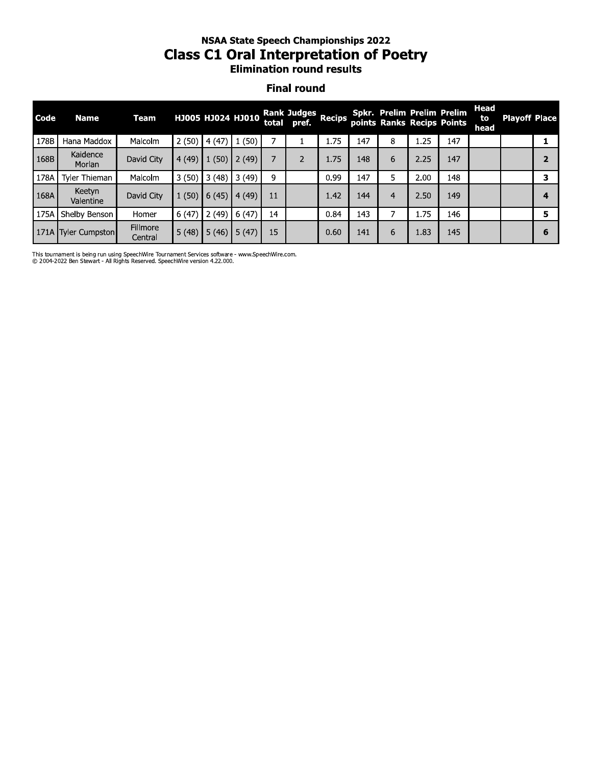## nsaa state speecn Championships 2022 Class C1 Oral Interpretation of Poetry **Elimination round results**

#### **Final round**

|      | <b>NSAA State Speech Championships 2022</b><br><b>Class C1 Oral Interpretation of Poetry</b><br><b>Elimination round results</b> |                            |       |                   |       |       |                             |               |     |                |      |                                                          |                    |                      |                |
|------|----------------------------------------------------------------------------------------------------------------------------------|----------------------------|-------|-------------------|-------|-------|-----------------------------|---------------|-----|----------------|------|----------------------------------------------------------|--------------------|----------------------|----------------|
|      | <b>Final round</b>                                                                                                               |                            |       |                   |       |       |                             |               |     |                |      |                                                          |                    |                      |                |
| Code | <b>Name</b>                                                                                                                      | <b>Team</b>                |       | HJ005 HJ024 HJ010 |       | total | <b>Rank Judges</b><br>pref. | <b>Recips</b> |     |                |      | Spkr. Prelim Prelim Prelim<br>points Ranks Recips Points | Head<br>to<br>head | <b>Playoff Place</b> |                |
| 178B | Hana Maddox                                                                                                                      | Malcolm                    | 2(50) | 4(47)             | 1(50) | 7     | ı                           | 1.75          | 147 | 8              | 1.25 | 147                                                      |                    |                      | 1              |
| 168B | Kaidence<br>Morlan                                                                                                               | David City                 | 4(49) | 1(50)             | 2(49) | 7     | $\overline{2}$              | 1.75          | 148 | 6              | 2.25 | 147                                                      |                    |                      | $\overline{2}$ |
| 178A | Tyler Thieman                                                                                                                    | Malcolm                    | 3(50) | 3(48)             | 3(49) | 9     |                             | 0.99          | 147 | 5              | 2.00 | 148                                                      |                    |                      | 3              |
| 168A | Keetyn<br>Valentine                                                                                                              | David City                 | 1(50) | 6(45)             | 4(49) | 11    |                             | 1.42          | 144 | $\overline{4}$ | 2.50 | 149                                                      |                    |                      | 4              |
| 175A | Shelby Benson                                                                                                                    | Homer                      | 6(47) | 2(49)             | 6(47) | 14    |                             | 0.84          | 143 | 7              | 1.75 | 146                                                      |                    |                      | 5              |
|      | 171A Tyler Cumpston                                                                                                              | <b>Fillmore</b><br>Central | 5(48) | 5(46)             | 5(47) | 15    |                             | 0.60          | 141 | 6              | 1.83 | 145                                                      |                    |                      | 6              |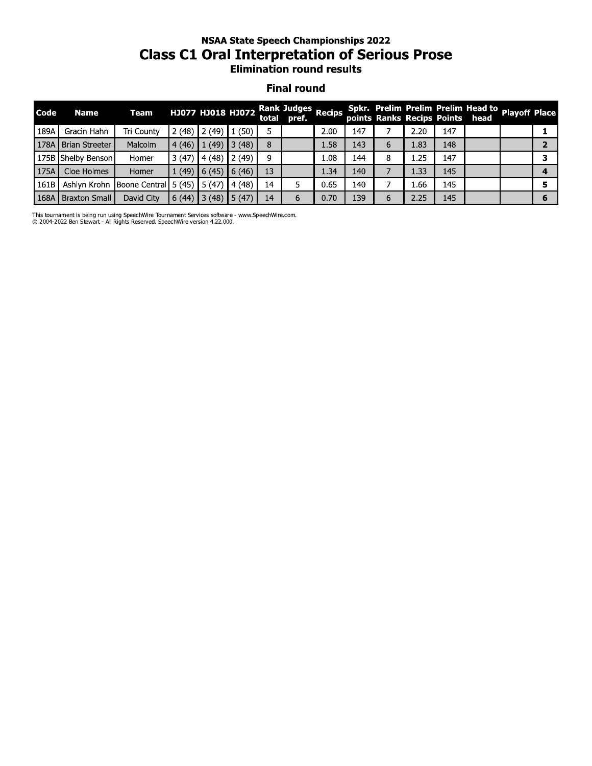## nsaa state speecn Championships 2022 Class C1 Oral Interpretation of Serious Prose **Elimination round results**

#### **Final round**

|      | <b>NSAA State Speech Championships 2022</b><br><b>Class C1 Oral Interpretation of Serious Prose</b><br><b>Elimination round results</b> |                            |                |                               |                |    |                                              |               |     |   |      |     |                                                                       |                      |                |
|------|-----------------------------------------------------------------------------------------------------------------------------------------|----------------------------|----------------|-------------------------------|----------------|----|----------------------------------------------|---------------|-----|---|------|-----|-----------------------------------------------------------------------|----------------------|----------------|
|      | <b>Final round</b>                                                                                                                      |                            |                |                               |                |    |                                              |               |     |   |      |     |                                                                       |                      |                |
| Code | <b>Name</b>                                                                                                                             | <b>Team</b>                |                |                               |                |    | HJ077 HJ018 HJ072 Rank Judges<br>total pref. | <b>Recips</b> |     |   |      |     | Spkr. Prelim Prelim Prelim Head to<br>points Ranks Recips Points head | <b>Playoff Place</b> |                |
| 189A | Gracin Hahn                                                                                                                             | Tri County                 | 2(48)          | 2(49)                         | 1(50)          | 5  |                                              | 2.00          | 147 |   | 2.20 | 147 |                                                                       |                      | 1              |
| 178A | Brian Streeter                                                                                                                          | Malcolm                    | 4(46)          | (49)                          | 13(48)         | 8  |                                              | 1.58          | 143 | 6 | 1.83 | 148 |                                                                       |                      | $\mathbf{z}$   |
|      | 175B Shelby Benson                                                                                                                      | Homer                      | 3(47)          | 4(48)                         | 2(49)          | 9  |                                              | $1.08\,$      | 144 | 8 | 1.25 | 147 |                                                                       |                      | 3              |
| 175A | Cloe Holmes                                                                                                                             | Homer                      | 1(49)          | 6(45)                         | (46)           | 13 |                                              | 1.34          | 140 |   | 1.33 | 145 |                                                                       |                      | $\overline{4}$ |
| 161B |                                                                                                                                         | Ashlyn Krohn Boone Central | $5(45)$ 5 (47) |                               | $\vert$ 4 (48) | 14 | 5                                            | 0.65          | 140 |   | 1.66 | 145 |                                                                       |                      | 5              |
| 168A | <b>Braxton Small</b>                                                                                                                    | David City                 | 6(44)          | $\vert$ 3 (48) $\vert$ 5 (47) |                | 14 | 6                                            | 0.70          | 139 | 6 | 2.25 | 145 |                                                                       |                      | 6              |